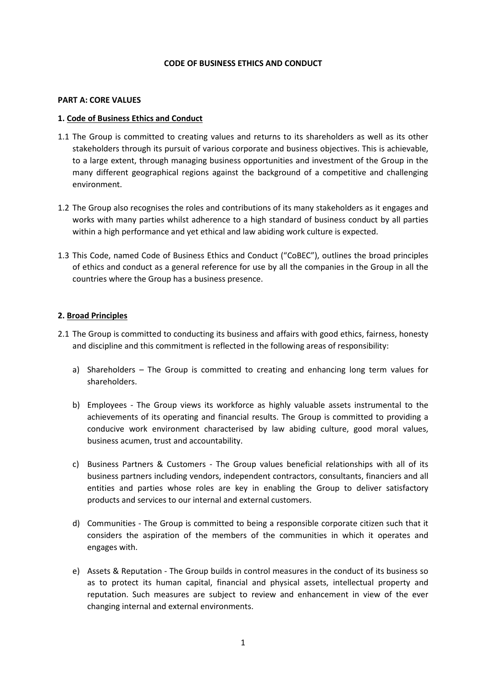# CODE OF BUSINESS ETHICS AND CONDUCT

#### PART A: CORE VALUES

### 1. Code of Business Ethics and Conduct

- 1.1 The Group is committed to creating values and returns to its shareholders as well as its other stakeholders through its pursuit of various corporate and business objectives. This is achievable, to a large extent, through managing business opportunities and investment of the Group in the many different geographical regions against the background of a competitive and challenging environment.
- 1.2 The Group also recognises the roles and contributions of its many stakeholders as it engages and works with many parties whilst adherence to a high standard of business conduct by all parties within a high performance and yet ethical and law abiding work culture is expected.
- 1.3 This Code, named Code of Business Ethics and Conduct ("CoBEC"), outlines the broad principles of ethics and conduct as a general reference for use by all the companies in the Group in all the countries where the Group has a business presence.

# 2. Broad Principles

- 2.1 The Group is committed to conducting its business and affairs with good ethics, fairness, honesty and discipline and this commitment is reflected in the following areas of responsibility:
	- a) Shareholders The Group is committed to creating and enhancing long term values for shareholders.
	- b) Employees The Group views its workforce as highly valuable assets instrumental to the achievements of its operating and financial results. The Group is committed to providing a conducive work environment characterised by law abiding culture, good moral values, business acumen, trust and accountability.
	- c) Business Partners & Customers The Group values beneficial relationships with all of its business partners including vendors, independent contractors, consultants, financiers and all entities and parties whose roles are key in enabling the Group to deliver satisfactory products and services to our internal and external customers.
	- d) Communities The Group is committed to being a responsible corporate citizen such that it considers the aspiration of the members of the communities in which it operates and engages with.
	- e) Assets & Reputation The Group builds in control measures in the conduct of its business so as to protect its human capital, financial and physical assets, intellectual property and reputation. Such measures are subject to review and enhancement in view of the ever changing internal and external environments.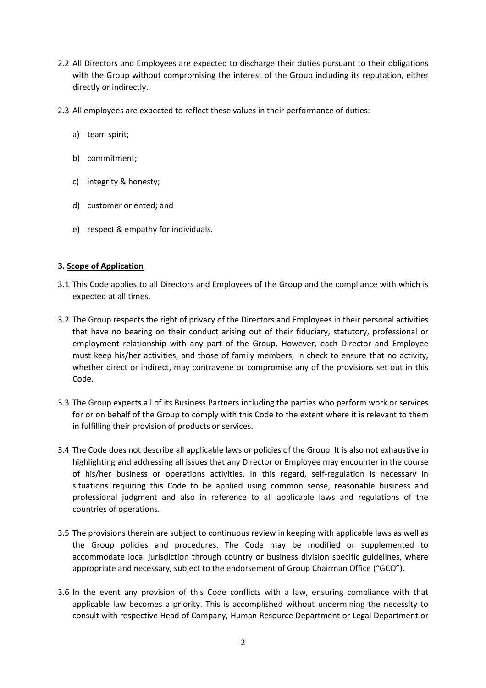- 2.2 All Directors and Employees are expected to discharge their duties pursuant to their obligations with the Group without compromising the interest of the Group including its reputation, either directly or indirectly.
- 2.3 All employees are expected to reflect these values in their performance of duties:
	- a) team spirit;
	- b) commitment;
	- c) integrity & honesty;
	- d) customer oriented; and
	- e) respect & empathy for individuals.

# 3. Scope of Application

- 3.1 This Code applies to all Directors and Employees of the Group and the compliance with which is expected at all times.
- 3.2 The Group respects the right of privacy of the Directors and Employees in their personal activities that have no bearing on their conduct arising out of their fiduciary, statutory, professional or employment relationship with any part of the Group. However, each Director and Employee must keep his/her activities, and those of family members, in check to ensure that no activity, whether direct or indirect, may contravene or compromise any of the provisions set out in this Code.
- 3.3 The Group expects all of its Business Partners including the parties who perform work or services for or on behalf of the Group to comply with this Code to the extent where it is relevant to them in fulfilling their provision of products or services.
- 3.4 The Code does not describe all applicable laws or policies of the Group. It is also not exhaustive in highlighting and addressing all issues that any Director or Employee may encounter in the course of his/her business or operations activities. In this regard, self-regulation is necessary in situations requiring this Code to be applied using common sense, reasonable business and professional judgment and also in reference to all applicable laws and regulations of the countries of operations.
- 3.5 The provisions therein are subject to continuous review in keeping with applicable laws as well as the Group policies and procedures. The Code may be modified or supplemented to accommodate local jurisdiction through country or business division specific guidelines, where appropriate and necessary, subject to the endorsement of Group Chairman Office ("GCO").
- 3.6 In the event any provision of this Code conflicts with a law, ensuring compliance with that applicable law becomes a priority. This is accomplished without undermining the necessity to consult with respective Head of Company, Human Resource Department or Legal Department or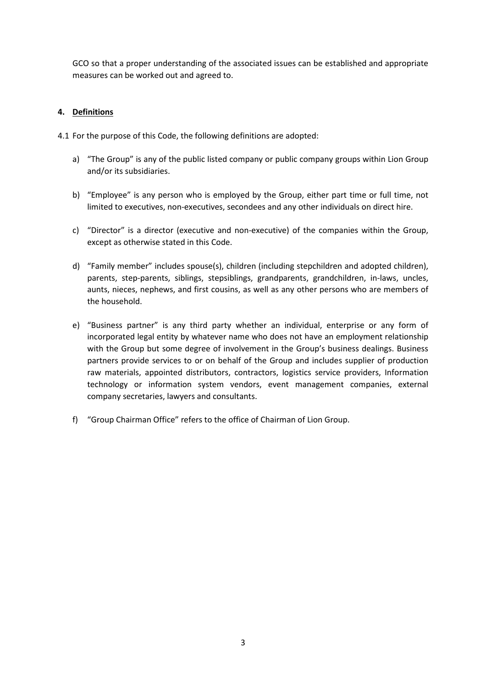GCO so that a proper understanding of the associated issues can be established and appropriate measures can be worked out and agreed to.

# 4. Definitions

4.1 For the purpose of this Code, the following definitions are adopted:

- a) "The Group" is any of the public listed company or public company groups within Lion Group and/or its subsidiaries.
- b) "Employee" is any person who is employed by the Group, either part time or full time, not limited to executives, non-executives, secondees and any other individuals on direct hire.
- c) "Director" is a director (executive and non-executive) of the companies within the Group, except as otherwise stated in this Code.
- d) "Family member" includes spouse(s), children (including stepchildren and adopted children), parents, step-parents, siblings, stepsiblings, grandparents, grandchildren, in-laws, uncles, aunts, nieces, nephews, and first cousins, as well as any other persons who are members of the household.
- e) "Business partner" is any third party whether an individual, enterprise or any form of incorporated legal entity by whatever name who does not have an employment relationship with the Group but some degree of involvement in the Group's business dealings. Business partners provide services to or on behalf of the Group and includes supplier of production raw materials, appointed distributors, contractors, logistics service providers, Information technology or information system vendors, event management companies, external company secretaries, lawyers and consultants.
- f) "Group Chairman Office" refers to the office of Chairman of Lion Group.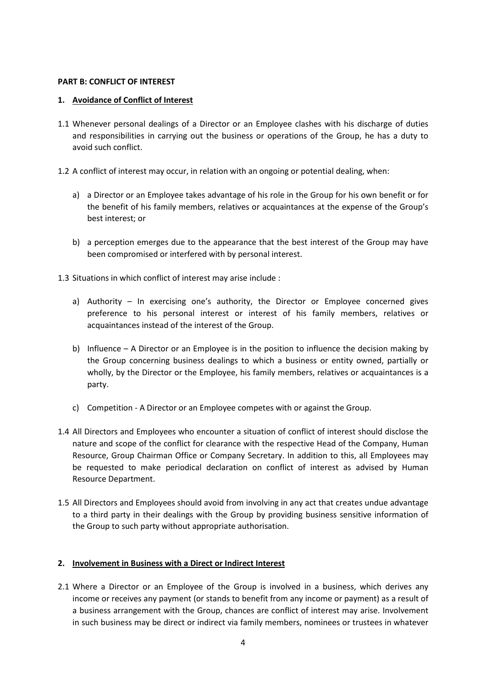# PART B: CONFLICT OF INTEREST

# 1. Avoidance of Conflict of Interest

- 1.1 Whenever personal dealings of a Director or an Employee clashes with his discharge of duties and responsibilities in carrying out the business or operations of the Group, he has a duty to avoid such conflict.
- 1.2 A conflict of interest may occur, in relation with an ongoing or potential dealing, when:
	- a) a Director or an Employee takes advantage of his role in the Group for his own benefit or for the benefit of his family members, relatives or acquaintances at the expense of the Group's best interest; or
	- b) a perception emerges due to the appearance that the best interest of the Group may have been compromised or interfered with by personal interest.
- 1.3 Situations in which conflict of interest may arise include :
	- a) Authority In exercising one's authority, the Director or Employee concerned gives preference to his personal interest or interest of his family members, relatives or acquaintances instead of the interest of the Group.
	- b) Influence A Director or an Employee is in the position to influence the decision making by the Group concerning business dealings to which a business or entity owned, partially or wholly, by the Director or the Employee, his family members, relatives or acquaintances is a party.
	- c) Competition A Director or an Employee competes with or against the Group.
- 1.4 All Directors and Employees who encounter a situation of conflict of interest should disclose the nature and scope of the conflict for clearance with the respective Head of the Company, Human Resource, Group Chairman Office or Company Secretary. In addition to this, all Employees may be requested to make periodical declaration on conflict of interest as advised by Human Resource Department.
- 1.5 All Directors and Employees should avoid from involving in any act that creates undue advantage to a third party in their dealings with the Group by providing business sensitive information of the Group to such party without appropriate authorisation.

# 2. Involvement in Business with a Direct or Indirect Interest

2.1 Where a Director or an Employee of the Group is involved in a business, which derives any income or receives any payment (or stands to benefit from any income or payment) as a result of a business arrangement with the Group, chances are conflict of interest may arise. Involvement in such business may be direct or indirect via family members, nominees or trustees in whatever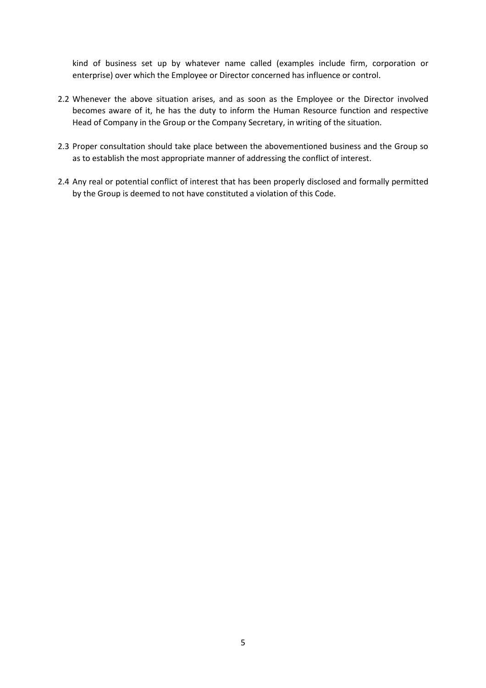kind of business set up by whatever name called (examples include firm, corporation or enterprise) over which the Employee or Director concerned has influence or control.

- 2.2 Whenever the above situation arises, and as soon as the Employee or the Director involved becomes aware of it, he has the duty to inform the Human Resource function and respective Head of Company in the Group or the Company Secretary, in writing of the situation.
- 2.3 Proper consultation should take place between the abovementioned business and the Group so as to establish the most appropriate manner of addressing the conflict of interest.
- 2.4 Any real or potential conflict of interest that has been properly disclosed and formally permitted by the Group is deemed to not have constituted a violation of this Code.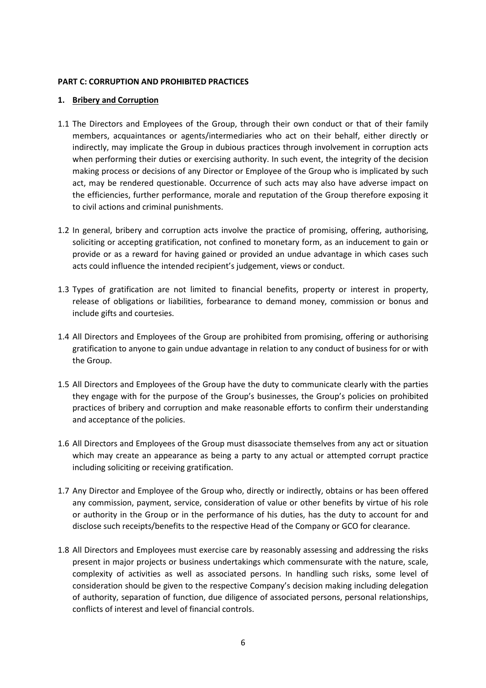# PART C: CORRUPTION AND PROHIBITED PRACTICES

# 1. Bribery and Corruption

- 1.1 The Directors and Employees of the Group, through their own conduct or that of their family members, acquaintances or agents/intermediaries who act on their behalf, either directly or indirectly, may implicate the Group in dubious practices through involvement in corruption acts when performing their duties or exercising authority. In such event, the integrity of the decision making process or decisions of any Director or Employee of the Group who is implicated by such act, may be rendered questionable. Occurrence of such acts may also have adverse impact on the efficiencies, further performance, morale and reputation of the Group therefore exposing it to civil actions and criminal punishments.
- 1.2 In general, bribery and corruption acts involve the practice of promising, offering, authorising, soliciting or accepting gratification, not confined to monetary form, as an inducement to gain or provide or as a reward for having gained or provided an undue advantage in which cases such acts could influence the intended recipient's judgement, views or conduct.
- 1.3 Types of gratification are not limited to financial benefits, property or interest in property, release of obligations or liabilities, forbearance to demand money, commission or bonus and include gifts and courtesies.
- 1.4 All Directors and Employees of the Group are prohibited from promising, offering or authorising gratification to anyone to gain undue advantage in relation to any conduct of business for or with the Group.
- 1.5 All Directors and Employees of the Group have the duty to communicate clearly with the parties they engage with for the purpose of the Group's businesses, the Group's policies on prohibited practices of bribery and corruption and make reasonable efforts to confirm their understanding and acceptance of the policies.
- 1.6 All Directors and Employees of the Group must disassociate themselves from any act or situation which may create an appearance as being a party to any actual or attempted corrupt practice including soliciting or receiving gratification.
- 1.7 Any Director and Employee of the Group who, directly or indirectly, obtains or has been offered any commission, payment, service, consideration of value or other benefits by virtue of his role or authority in the Group or in the performance of his duties, has the duty to account for and disclose such receipts/benefits to the respective Head of the Company or GCO for clearance.
- 1.8 All Directors and Employees must exercise care by reasonably assessing and addressing the risks present in major projects or business undertakings which commensurate with the nature, scale, complexity of activities as well as associated persons. In handling such risks, some level of consideration should be given to the respective Company's decision making including delegation of authority, separation of function, due diligence of associated persons, personal relationships, conflicts of interest and level of financial controls.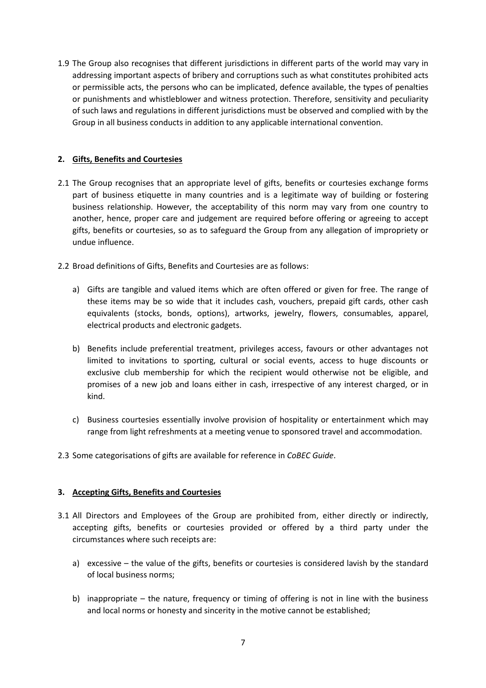1.9 The Group also recognises that different jurisdictions in different parts of the world may vary in addressing important aspects of bribery and corruptions such as what constitutes prohibited acts or permissible acts, the persons who can be implicated, defence available, the types of penalties or punishments and whistleblower and witness protection. Therefore, sensitivity and peculiarity of such laws and regulations in different jurisdictions must be observed and complied with by the Group in all business conducts in addition to any applicable international convention.

# 2. Gifts, Benefits and Courtesies

- 2.1 The Group recognises that an appropriate level of gifts, benefits or courtesies exchange forms part of business etiquette in many countries and is a legitimate way of building or fostering business relationship. However, the acceptability of this norm may vary from one country to another, hence, proper care and judgement are required before offering or agreeing to accept gifts, benefits or courtesies, so as to safeguard the Group from any allegation of impropriety or undue influence.
- 2.2 Broad definitions of Gifts, Benefits and Courtesies are as follows:
	- a) Gifts are tangible and valued items which are often offered or given for free. The range of these items may be so wide that it includes cash, vouchers, prepaid gift cards, other cash equivalents (stocks, bonds, options), artworks, jewelry, flowers, consumables, apparel, electrical products and electronic gadgets.
	- b) Benefits include preferential treatment, privileges access, favours or other advantages not limited to invitations to sporting, cultural or social events, access to huge discounts or exclusive club membership for which the recipient would otherwise not be eligible, and promises of a new job and loans either in cash, irrespective of any interest charged, or in kind.
	- c) Business courtesies essentially involve provision of hospitality or entertainment which may range from light refreshments at a meeting venue to sponsored travel and accommodation.
- 2.3 Some categorisations of gifts are available for reference in CoBEC Guide.

# 3. Accepting Gifts, Benefits and Courtesies

- 3.1 All Directors and Employees of the Group are prohibited from, either directly or indirectly, accepting gifts, benefits or courtesies provided or offered by a third party under the circumstances where such receipts are:
	- a) excessive the value of the gifts, benefits or courtesies is considered lavish by the standard of local business norms;
	- b) inappropriate the nature, frequency or timing of offering is not in line with the business and local norms or honesty and sincerity in the motive cannot be established;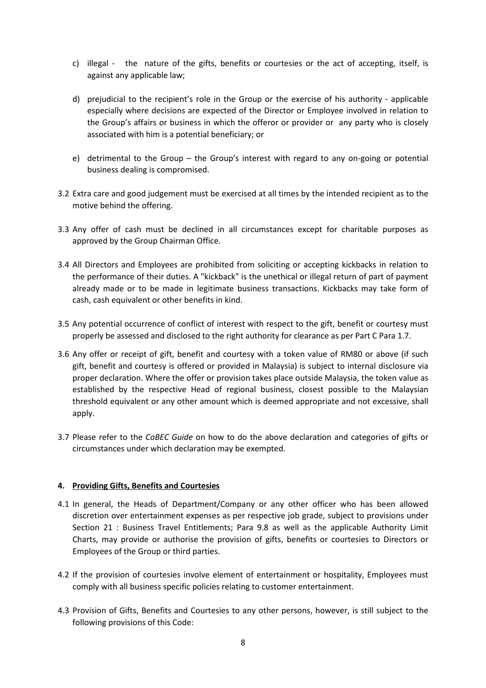- c) illegal the nature of the gifts, benefits or courtesies or the act of accepting, itself, is against any applicable law;
- d) prejudicial to the recipient's role in the Group or the exercise of his authority applicable especially where decisions are expected of the Director or Employee involved in relation to the Group's affairs or business in which the offeror or provider or any party who is closely associated with him is a potential beneficiary; or
- e) detrimental to the Group the Group's interest with regard to any on-going or potential business dealing is compromised.
- 3.2 Extra care and good judgement must be exercised at all times by the intended recipient as to the motive behind the offering.
- 3.3 Any offer of cash must be declined in all circumstances except for charitable purposes as approved by the Group Chairman Office.
- 3.4 All Directors and Employees are prohibited from soliciting or accepting kickbacks in relation to the performance of their duties. A "kickback" is the unethical or illegal return of part of payment already made or to be made in legitimate business transactions. Kickbacks may take form of cash, cash equivalent or other benefits in kind.
- 3.5 Any potential occurrence of conflict of interest with respect to the gift, benefit or courtesy must properly be assessed and disclosed to the right authority for clearance as per Part C Para 1.7.
- 3.6 Any offer or receipt of gift, benefit and courtesy with a token value of RM80 or above (if such gift, benefit and courtesy is offered or provided in Malaysia) is subject to internal disclosure via proper declaration. Where the offer or provision takes place outside Malaysia, the token value as established by the respective Head of regional business, closest possible to the Malaysian threshold equivalent or any other amount which is deemed appropriate and not excessive, shall apply.
- 3.7 Please refer to the CoBEC Guide on how to do the above declaration and categories of gifts or circumstances under which declaration may be exempted.

# 4. Providing Gifts, Benefits and Courtesies

- 4.1 In general, the Heads of Department/Company or any other officer who has been allowed discretion over entertainment expenses as per respective job grade, subject to provisions under Section 21 : Business Travel Entitlements; Para 9.8 as well as the applicable Authority Limit Charts, may provide or authorise the provision of gifts, benefits or courtesies to Directors or Employees of the Group or third parties.
- 4.2 If the provision of courtesies involve element of entertainment or hospitality, Employees must comply with all business specific policies relating to customer entertainment.
- 4.3 Provision of Gifts, Benefits and Courtesies to any other persons, however, is still subject to the following provisions of this Code: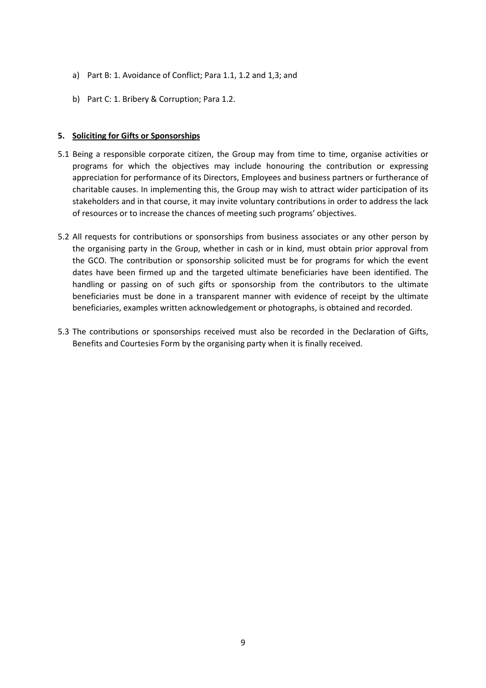- a) Part B: 1. Avoidance of Conflict; Para 1.1, 1.2 and 1,3; and
- b) Part C: 1. Bribery & Corruption; Para 1.2.

# 5. Soliciting for Gifts or Sponsorships

- 5.1 Being a responsible corporate citizen, the Group may from time to time, organise activities or programs for which the objectives may include honouring the contribution or expressing appreciation for performance of its Directors, Employees and business partners or furtherance of charitable causes. In implementing this, the Group may wish to attract wider participation of its stakeholders and in that course, it may invite voluntary contributions in order to address the lack of resources or to increase the chances of meeting such programs' objectives.
- 5.2 All requests for contributions or sponsorships from business associates or any other person by the organising party in the Group, whether in cash or in kind, must obtain prior approval from the GCO. The contribution or sponsorship solicited must be for programs for which the event dates have been firmed up and the targeted ultimate beneficiaries have been identified. The handling or passing on of such gifts or sponsorship from the contributors to the ultimate beneficiaries must be done in a transparent manner with evidence of receipt by the ultimate beneficiaries, examples written acknowledgement or photographs, is obtained and recorded.
- 5.3 The contributions or sponsorships received must also be recorded in the Declaration of Gifts, Benefits and Courtesies Form by the organising party when it is finally received.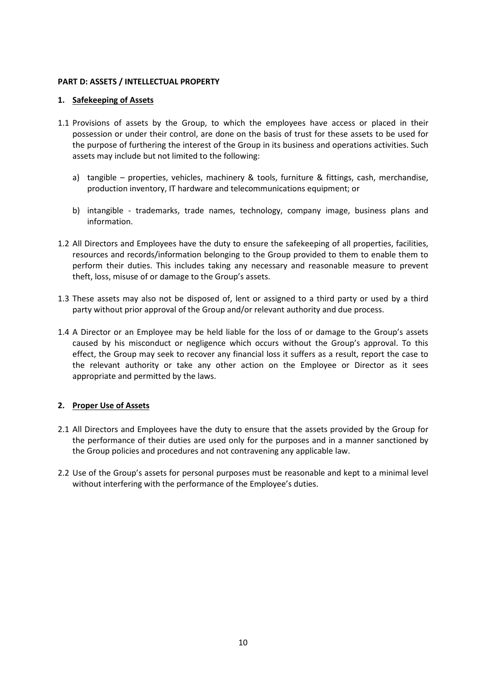# PART D: ASSETS / INTELLECTUAL PROPERTY

# 1. Safekeeping of Assets

- 1.1 Provisions of assets by the Group, to which the employees have access or placed in their possession or under their control, are done on the basis of trust for these assets to be used for the purpose of furthering the interest of the Group in its business and operations activities. Such assets may include but not limited to the following:
	- a) tangible properties, vehicles, machinery & tools, furniture & fittings, cash, merchandise, production inventory, IT hardware and telecommunications equipment; or
	- b) intangible trademarks, trade names, technology, company image, business plans and information.
- 1.2 All Directors and Employees have the duty to ensure the safekeeping of all properties, facilities, resources and records/information belonging to the Group provided to them to enable them to perform their duties. This includes taking any necessary and reasonable measure to prevent theft, loss, misuse of or damage to the Group's assets.
- 1.3 These assets may also not be disposed of, lent or assigned to a third party or used by a third party without prior approval of the Group and/or relevant authority and due process.
- 1.4 A Director or an Employee may be held liable for the loss of or damage to the Group's assets caused by his misconduct or negligence which occurs without the Group's approval. To this effect, the Group may seek to recover any financial loss it suffers as a result, report the case to the relevant authority or take any other action on the Employee or Director as it sees appropriate and permitted by the laws.

# 2. Proper Use of Assets

- 2.1 All Directors and Employees have the duty to ensure that the assets provided by the Group for the performance of their duties are used only for the purposes and in a manner sanctioned by the Group policies and procedures and not contravening any applicable law.
- 2.2 Use of the Group's assets for personal purposes must be reasonable and kept to a minimal level without interfering with the performance of the Employee's duties.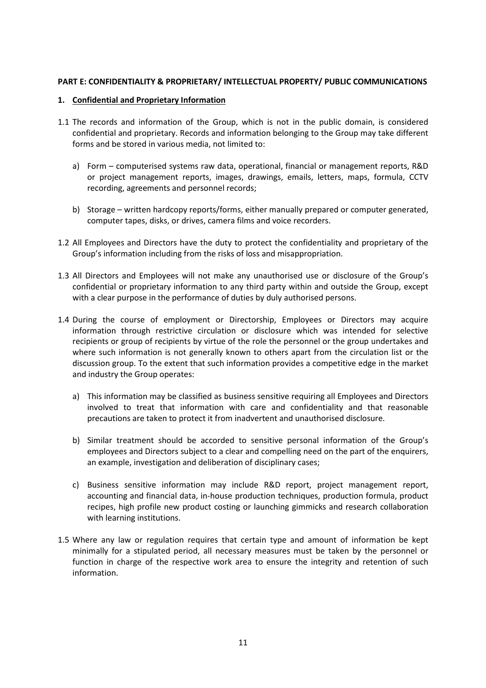# PART E: CONFIDENTIALITY & PROPRIETARY/ INTELLECTUAL PROPERTY/ PUBLIC COMMUNICATIONS

# 1. Confidential and Proprietary Information

- 1.1 The records and information of the Group, which is not in the public domain, is considered confidential and proprietary. Records and information belonging to the Group may take different forms and be stored in various media, not limited to:
	- a) Form computerised systems raw data, operational, financial or management reports, R&D or project management reports, images, drawings, emails, letters, maps, formula, CCTV recording, agreements and personnel records;
	- b) Storage written hardcopy reports/forms, either manually prepared or computer generated, computer tapes, disks, or drives, camera films and voice recorders.
- 1.2 All Employees and Directors have the duty to protect the confidentiality and proprietary of the Group's information including from the risks of loss and misappropriation.
- 1.3 All Directors and Employees will not make any unauthorised use or disclosure of the Group's confidential or proprietary information to any third party within and outside the Group, except with a clear purpose in the performance of duties by duly authorised persons.
- 1.4 During the course of employment or Directorship, Employees or Directors may acquire information through restrictive circulation or disclosure which was intended for selective recipients or group of recipients by virtue of the role the personnel or the group undertakes and where such information is not generally known to others apart from the circulation list or the discussion group. To the extent that such information provides a competitive edge in the market and industry the Group operates:
	- a) This information may be classified as business sensitive requiring all Employees and Directors involved to treat that information with care and confidentiality and that reasonable precautions are taken to protect it from inadvertent and unauthorised disclosure.
	- b) Similar treatment should be accorded to sensitive personal information of the Group's employees and Directors subject to a clear and compelling need on the part of the enquirers, an example, investigation and deliberation of disciplinary cases;
	- c) Business sensitive information may include R&D report, project management report, accounting and financial data, in-house production techniques, production formula, product recipes, high profile new product costing or launching gimmicks and research collaboration with learning institutions.
- 1.5 Where any law or regulation requires that certain type and amount of information be kept minimally for a stipulated period, all necessary measures must be taken by the personnel or function in charge of the respective work area to ensure the integrity and retention of such information.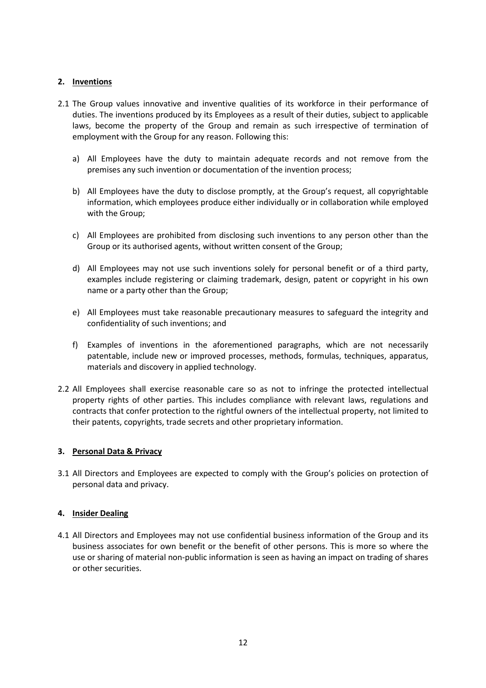# 2. Inventions

- 2.1 The Group values innovative and inventive qualities of its workforce in their performance of duties. The inventions produced by its Employees as a result of their duties, subject to applicable laws, become the property of the Group and remain as such irrespective of termination of employment with the Group for any reason. Following this:
	- a) All Employees have the duty to maintain adequate records and not remove from the premises any such invention or documentation of the invention process;
	- b) All Employees have the duty to disclose promptly, at the Group's request, all copyrightable information, which employees produce either individually or in collaboration while employed with the Group;
	- c) All Employees are prohibited from disclosing such inventions to any person other than the Group or its authorised agents, without written consent of the Group;
	- d) All Employees may not use such inventions solely for personal benefit or of a third party, examples include registering or claiming trademark, design, patent or copyright in his own name or a party other than the Group;
	- e) All Employees must take reasonable precautionary measures to safeguard the integrity and confidentiality of such inventions; and
	- f) Examples of inventions in the aforementioned paragraphs, which are not necessarily patentable, include new or improved processes, methods, formulas, techniques, apparatus, materials and discovery in applied technology.
- 2.2 All Employees shall exercise reasonable care so as not to infringe the protected intellectual property rights of other parties. This includes compliance with relevant laws, regulations and contracts that confer protection to the rightful owners of the intellectual property, not limited to their patents, copyrights, trade secrets and other proprietary information.

# 3. Personal Data & Privacy

3.1 All Directors and Employees are expected to comply with the Group's policies on protection of personal data and privacy.

# 4. Insider Dealing

4.1 All Directors and Employees may not use confidential business information of the Group and its business associates for own benefit or the benefit of other persons. This is more so where the use or sharing of material non-public information is seen as having an impact on trading of shares or other securities.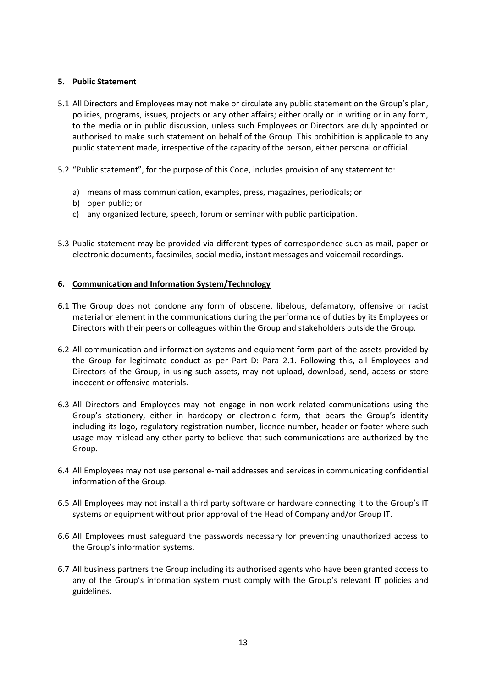# 5. Public Statement

- 5.1 All Directors and Employees may not make or circulate any public statement on the Group's plan, policies, programs, issues, projects or any other affairs; either orally or in writing or in any form, to the media or in public discussion, unless such Employees or Directors are duly appointed or authorised to make such statement on behalf of the Group. This prohibition is applicable to any public statement made, irrespective of the capacity of the person, either personal or official.
- 5.2 "Public statement", for the purpose of this Code, includes provision of any statement to:
	- a) means of mass communication, examples, press, magazines, periodicals; or
	- b) open public; or
	- c) any organized lecture, speech, forum or seminar with public participation.
- 5.3 Public statement may be provided via different types of correspondence such as mail, paper or electronic documents, facsimiles, social media, instant messages and voicemail recordings.

# 6. Communication and Information System/Technology

- 6.1 The Group does not condone any form of obscene, libelous, defamatory, offensive or racist material or element in the communications during the performance of duties by its Employees or Directors with their peers or colleagues within the Group and stakeholders outside the Group.
- 6.2 All communication and information systems and equipment form part of the assets provided by the Group for legitimate conduct as per Part D: Para 2.1. Following this, all Employees and Directors of the Group, in using such assets, may not upload, download, send, access or store indecent or offensive materials.
- 6.3 All Directors and Employees may not engage in non-work related communications using the Group's stationery, either in hardcopy or electronic form, that bears the Group's identity including its logo, regulatory registration number, licence number, header or footer where such usage may mislead any other party to believe that such communications are authorized by the Group.
- 6.4 All Employees may not use personal e-mail addresses and services in communicating confidential information of the Group.
- 6.5 All Employees may not install a third party software or hardware connecting it to the Group's IT systems or equipment without prior approval of the Head of Company and/or Group IT.
- 6.6 All Employees must safeguard the passwords necessary for preventing unauthorized access to the Group's information systems.
- 6.7 All business partners the Group including its authorised agents who have been granted access to any of the Group's information system must comply with the Group's relevant IT policies and guidelines.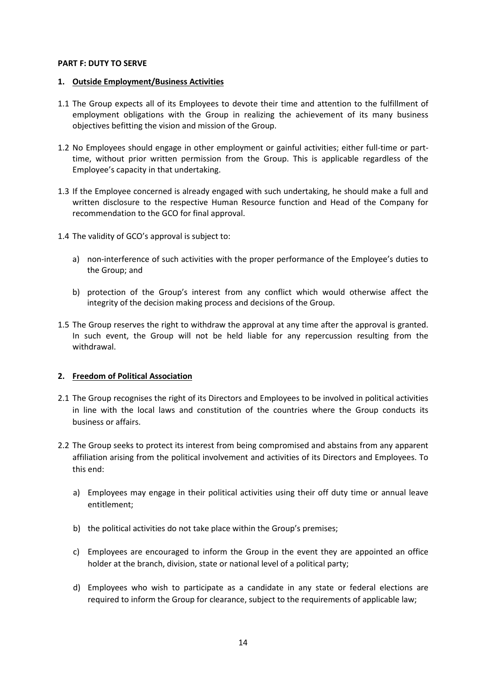# PART F: DUTY TO SERVE

#### 1. Outside Employment/Business Activities

- 1.1 The Group expects all of its Employees to devote their time and attention to the fulfillment of employment obligations with the Group in realizing the achievement of its many business objectives befitting the vision and mission of the Group.
- 1.2 No Employees should engage in other employment or gainful activities; either full-time or parttime, without prior written permission from the Group. This is applicable regardless of the Employee's capacity in that undertaking.
- 1.3 If the Employee concerned is already engaged with such undertaking, he should make a full and written disclosure to the respective Human Resource function and Head of the Company for recommendation to the GCO for final approval.
- 1.4 The validity of GCO's approval is subject to:
	- a) non-interference of such activities with the proper performance of the Employee's duties to the Group; and
	- b) protection of the Group's interest from any conflict which would otherwise affect the integrity of the decision making process and decisions of the Group.
- 1.5 The Group reserves the right to withdraw the approval at any time after the approval is granted. In such event, the Group will not be held liable for any repercussion resulting from the withdrawal.

# 2. Freedom of Political Association

- 2.1 The Group recognises the right of its Directors and Employees to be involved in political activities in line with the local laws and constitution of the countries where the Group conducts its business or affairs.
- 2.2 The Group seeks to protect its interest from being compromised and abstains from any apparent affiliation arising from the political involvement and activities of its Directors and Employees. To this end:
	- a) Employees may engage in their political activities using their off duty time or annual leave entitlement;
	- b) the political activities do not take place within the Group's premises;
	- c) Employees are encouraged to inform the Group in the event they are appointed an office holder at the branch, division, state or national level of a political party;
	- d) Employees who wish to participate as a candidate in any state or federal elections are required to inform the Group for clearance, subject to the requirements of applicable law;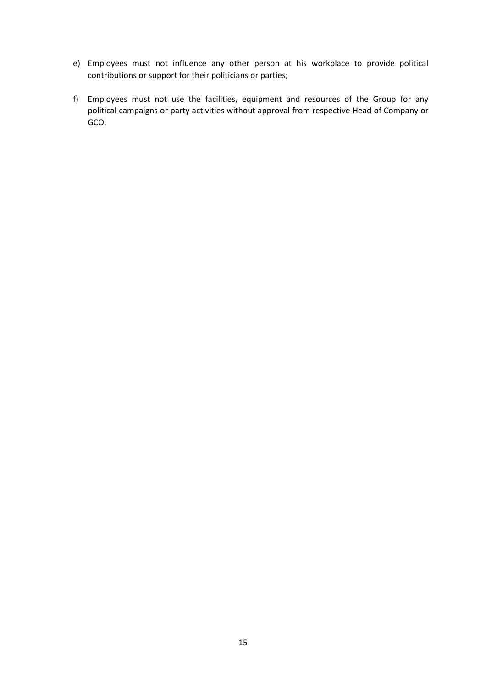- e) Employees must not influence any other person at his workplace to provide political contributions or support for their politicians or parties;
- f) Employees must not use the facilities, equipment and resources of the Group for any political campaigns or party activities without approval from respective Head of Company or GCO.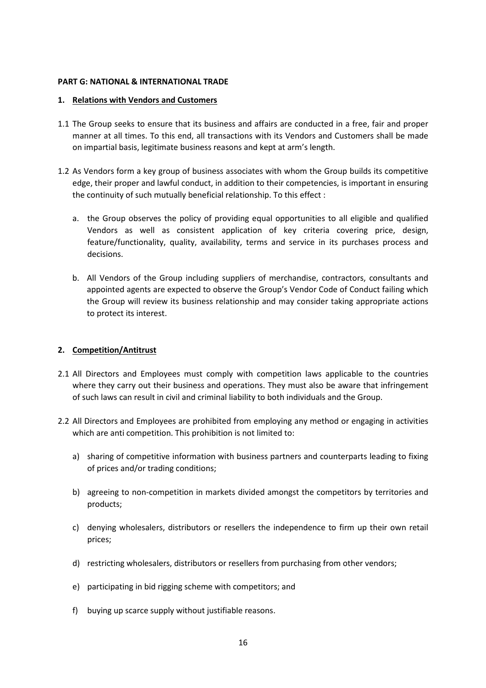### PART G: NATIONAL & INTERNATIONAL TRADE

#### 1. Relations with Vendors and Customers

- 1.1 The Group seeks to ensure that its business and affairs are conducted in a free, fair and proper manner at all times. To this end, all transactions with its Vendors and Customers shall be made on impartial basis, legitimate business reasons and kept at arm's length.
- 1.2 As Vendors form a key group of business associates with whom the Group builds its competitive edge, their proper and lawful conduct, in addition to their competencies, is important in ensuring the continuity of such mutually beneficial relationship. To this effect :
	- a. the Group observes the policy of providing equal opportunities to all eligible and qualified Vendors as well as consistent application of key criteria covering price, design, feature/functionality, quality, availability, terms and service in its purchases process and decisions.
	- b. All Vendors of the Group including suppliers of merchandise, contractors, consultants and appointed agents are expected to observe the Group's Vendor Code of Conduct failing which the Group will review its business relationship and may consider taking appropriate actions to protect its interest.

# 2. Competition/Antitrust

- 2.1 All Directors and Employees must comply with competition laws applicable to the countries where they carry out their business and operations. They must also be aware that infringement of such laws can result in civil and criminal liability to both individuals and the Group.
- 2.2 All Directors and Employees are prohibited from employing any method or engaging in activities which are anti competition. This prohibition is not limited to:
	- a) sharing of competitive information with business partners and counterparts leading to fixing of prices and/or trading conditions;
	- b) agreeing to non-competition in markets divided amongst the competitors by territories and products;
	- c) denying wholesalers, distributors or resellers the independence to firm up their own retail prices;
	- d) restricting wholesalers, distributors or resellers from purchasing from other vendors;
	- e) participating in bid rigging scheme with competitors; and
	- f) buying up scarce supply without justifiable reasons.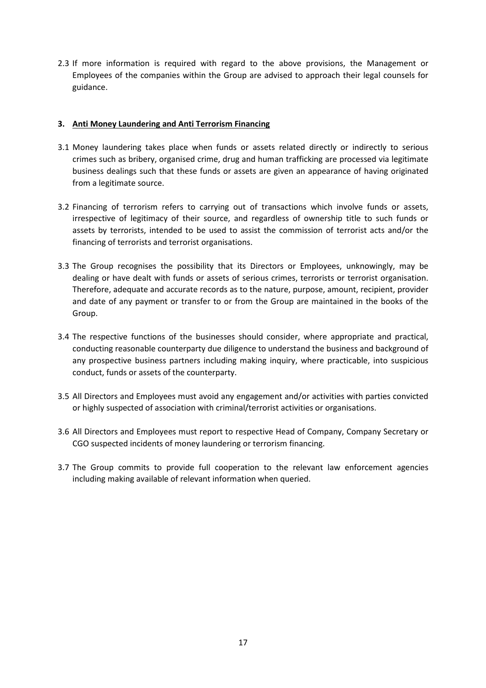2.3 If more information is required with regard to the above provisions, the Management or Employees of the companies within the Group are advised to approach their legal counsels for guidance.

# 3. Anti Money Laundering and Anti Terrorism Financing

- 3.1 Money laundering takes place when funds or assets related directly or indirectly to serious crimes such as bribery, organised crime, drug and human trafficking are processed via legitimate business dealings such that these funds or assets are given an appearance of having originated from a legitimate source.
- 3.2 Financing of terrorism refers to carrying out of transactions which involve funds or assets, irrespective of legitimacy of their source, and regardless of ownership title to such funds or assets by terrorists, intended to be used to assist the commission of terrorist acts and/or the financing of terrorists and terrorist organisations.
- 3.3 The Group recognises the possibility that its Directors or Employees, unknowingly, may be dealing or have dealt with funds or assets of serious crimes, terrorists or terrorist organisation. Therefore, adequate and accurate records as to the nature, purpose, amount, recipient, provider and date of any payment or transfer to or from the Group are maintained in the books of the Group.
- 3.4 The respective functions of the businesses should consider, where appropriate and practical, conducting reasonable counterparty due diligence to understand the business and background of any prospective business partners including making inquiry, where practicable, into suspicious conduct, funds or assets of the counterparty.
- 3.5 All Directors and Employees must avoid any engagement and/or activities with parties convicted or highly suspected of association with criminal/terrorist activities or organisations.
- 3.6 All Directors and Employees must report to respective Head of Company, Company Secretary or CGO suspected incidents of money laundering or terrorism financing.
- 3.7 The Group commits to provide full cooperation to the relevant law enforcement agencies including making available of relevant information when queried.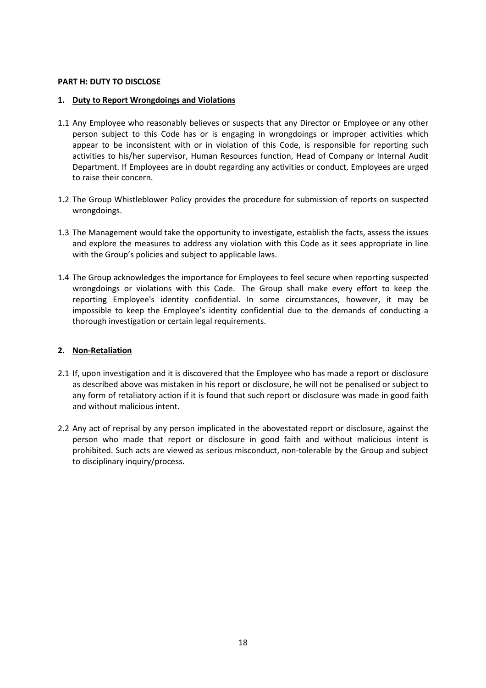# PART H: DUTY TO DISCLOSE

#### 1. Duty to Report Wrongdoings and Violations

- 1.1 Any Employee who reasonably believes or suspects that any Director or Employee or any other person subject to this Code has or is engaging in wrongdoings or improper activities which appear to be inconsistent with or in violation of this Code, is responsible for reporting such activities to his/her supervisor, Human Resources function, Head of Company or Internal Audit Department. If Employees are in doubt regarding any activities or conduct, Employees are urged to raise their concern.
- 1.2 The Group Whistleblower Policy provides the procedure for submission of reports on suspected wrongdoings.
- 1.3 The Management would take the opportunity to investigate, establish the facts, assess the issues and explore the measures to address any violation with this Code as it sees appropriate in line with the Group's policies and subject to applicable laws.
- 1.4 The Group acknowledges the importance for Employees to feel secure when reporting suspected wrongdoings or violations with this Code. The Group shall make every effort to keep the reporting Employee's identity confidential. In some circumstances, however, it may be impossible to keep the Employee's identity confidential due to the demands of conducting a thorough investigation or certain legal requirements.

# 2. Non-Retaliation

- 2.1 If, upon investigation and it is discovered that the Employee who has made a report or disclosure as described above was mistaken in his report or disclosure, he will not be penalised or subject to any form of retaliatory action if it is found that such report or disclosure was made in good faith and without malicious intent.
- 2.2 Any act of reprisal by any person implicated in the abovestated report or disclosure, against the person who made that report or disclosure in good faith and without malicious intent is prohibited. Such acts are viewed as serious misconduct, non-tolerable by the Group and subject to disciplinary inquiry/process.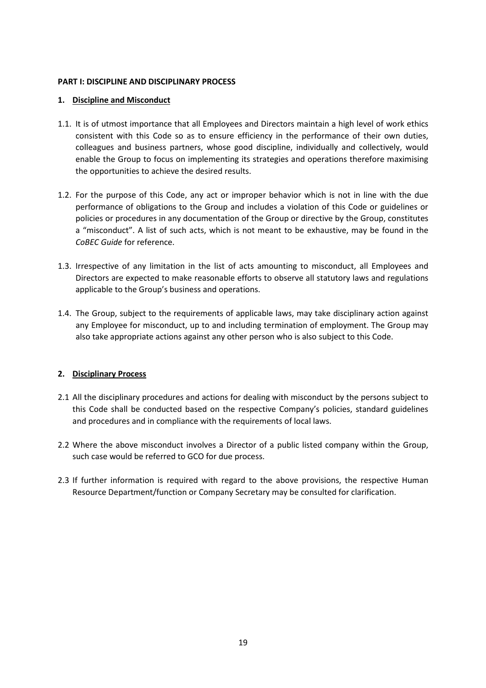### PART I: DISCIPLINE AND DISCIPLINARY PROCESS

### 1. Discipline and Misconduct

- 1.1. It is of utmost importance that all Employees and Directors maintain a high level of work ethics consistent with this Code so as to ensure efficiency in the performance of their own duties, colleagues and business partners, whose good discipline, individually and collectively, would enable the Group to focus on implementing its strategies and operations therefore maximising the opportunities to achieve the desired results.
- 1.2. For the purpose of this Code, any act or improper behavior which is not in line with the due performance of obligations to the Group and includes a violation of this Code or guidelines or policies or procedures in any documentation of the Group or directive by the Group, constitutes a "misconduct". A list of such acts, which is not meant to be exhaustive, may be found in the CoBEC Guide for reference.
- 1.3. Irrespective of any limitation in the list of acts amounting to misconduct, all Employees and Directors are expected to make reasonable efforts to observe all statutory laws and regulations applicable to the Group's business and operations.
- 1.4. The Group, subject to the requirements of applicable laws, may take disciplinary action against any Employee for misconduct, up to and including termination of employment. The Group may also take appropriate actions against any other person who is also subject to this Code.

# 2. Disciplinary Process

- 2.1 All the disciplinary procedures and actions for dealing with misconduct by the persons subject to this Code shall be conducted based on the respective Company's policies, standard guidelines and procedures and in compliance with the requirements of local laws.
- 2.2 Where the above misconduct involves a Director of a public listed company within the Group, such case would be referred to GCO for due process.
- 2.3 If further information is required with regard to the above provisions, the respective Human Resource Department/function or Company Secretary may be consulted for clarification.